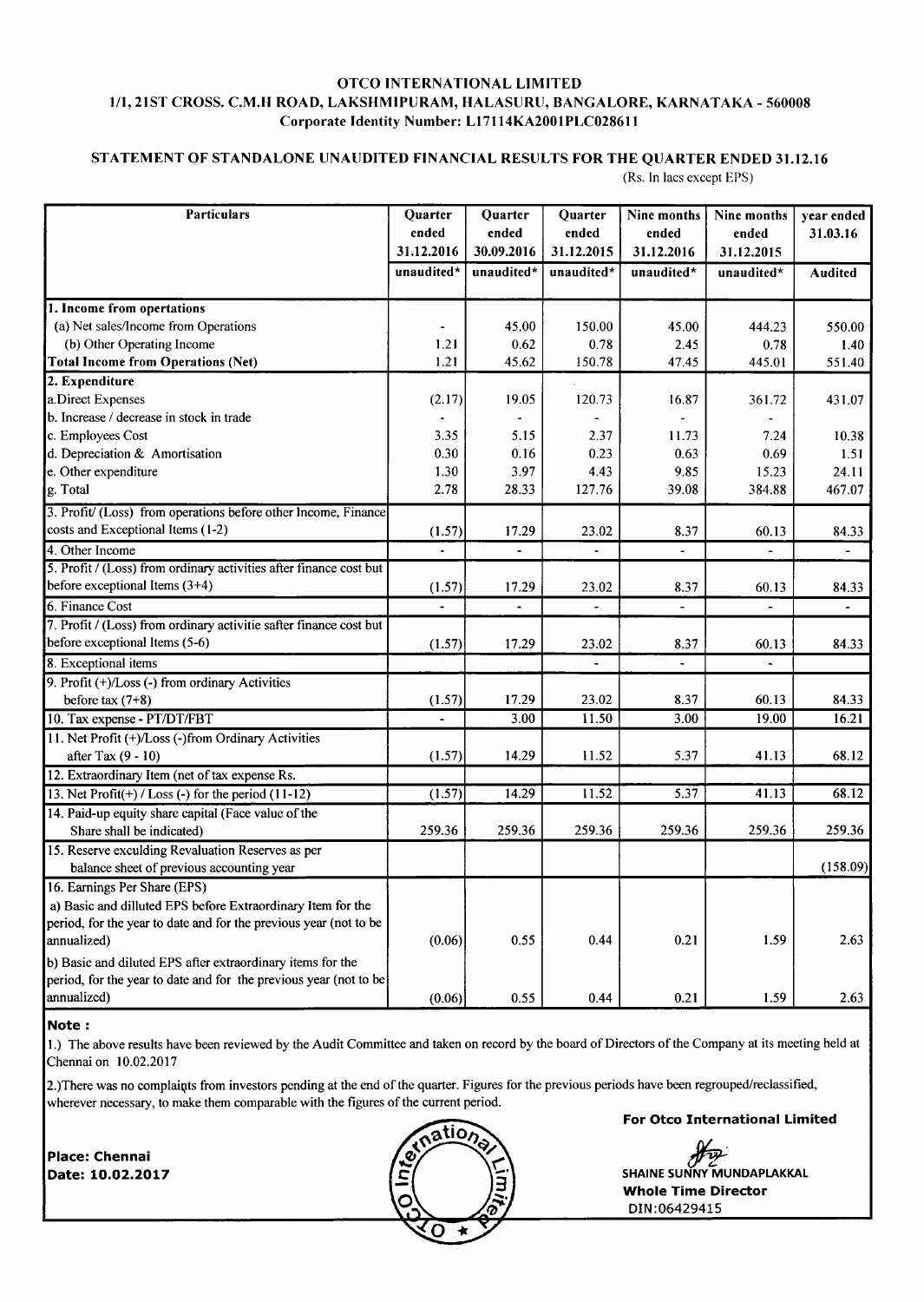## OTCO INTERNATIONAL LIMITED I/I,2IST CROSS. C.M.H ROAD, LAKSHMIPURAM, HALASURU, BANGALORE, KARNATAKA - 560008 Corporate Identity Number: L17114KA2001PLC028611

## STATEMENT OF STANDALONE UNAUDITED FINANCIAL RESULTS FOR THE QUARTER ENDED 31.12,16 (Rs. In lacs except EPS)

| <b>Particulars</b>                                                 | Quarter             | Quarter              | Quarter             | Nine months         | Nine months         | year ended               |
|--------------------------------------------------------------------|---------------------|----------------------|---------------------|---------------------|---------------------|--------------------------|
|                                                                    | ended<br>31.12.2016 | ended<br>30.09.2016  | ended<br>31.12.2015 | ended<br>31.12.2016 | ended<br>31.12.2015 | 31.03.16                 |
|                                                                    | unaudited*          | unaudited*           | unaudited*          | unaudited*          | unaudited*          |                          |
|                                                                    |                     |                      |                     |                     |                     | Audited                  |
| 1. Income from opertations                                         |                     |                      |                     |                     |                     |                          |
| (a) Net sales/Income from Operations                               |                     | 45.00                | 150.00              | 45.00               | 444.23              | 550.00                   |
| (b) Other Operating Income                                         | 1.21                | 0.62                 | 0.78                | 2.45                | 0.78                | 1.40                     |
| <b>Total Income from Operations (Net)</b>                          | 1.21                | 45.62                | 150.78              | 47.45               | 445.01              | 551.40                   |
| 2. Expenditure                                                     |                     |                      |                     |                     |                     |                          |
| a.Direct Expenses                                                  | (2.17)              | 19.05                | 120.73              | 16.87               | 361.72              | 431.07                   |
| b. Increase / decrease in stock in trade                           |                     |                      |                     | $\overline{a}$      |                     |                          |
| c. Employees Cost                                                  | 3.35                | 5.15                 | 2.37                | 11.73               | 7.24                | 10.38                    |
| d. Depreciation & Amortisation                                     | 0.30                | 0.16                 | 0.23                | 0.63                | 0.69                | 1.51                     |
| e. Other expenditure                                               | 1.30                | 3.97                 | 4.43                | 9.85                | 15.23               | 24.11                    |
| g. Total                                                           | 2.78                | 28.33                | 127.76              | 39.08               | 384.88              | 467.07                   |
| 3. Profit/ (Loss) from operations before other Income, Finance     |                     |                      |                     |                     |                     |                          |
| costs and Exceptional Items (1-2)                                  | (1.57)              | 17.29                | 23.02               | 8.37                | 60.13               | 84.33                    |
| 4. Other Income                                                    |                     | $\ddot{\phantom{a}}$ |                     |                     |                     | $\overline{\phantom{0}}$ |
| 5. Profit / (Loss) from ordinary activities after finance cost but |                     |                      |                     |                     |                     |                          |
| before exceptional Items (3+4)                                     | (1.57)              | 17.29                | 23.02               | 8.37                | 60.13               | 84.33                    |
| 6. Finance Cost                                                    |                     |                      |                     |                     |                     | ÷                        |
| 7. Profit / (Loss) from ordinary activitie safter finance cost but |                     |                      |                     |                     |                     |                          |
| before exceptional Items (5-6)                                     | (1.57)              | 17.29                | 23.02               | 8.37                | 60.13               | 84.33                    |
| 8. Exceptional items                                               |                     |                      |                     |                     |                     |                          |
| 9. Profit (+)/Loss (-) from ordinary Activities                    |                     |                      |                     |                     |                     |                          |
| before tax $(7+8)$                                                 | (1.57)              | 17.29                | 23.02               | 8.37                | 60.13               | 84.33                    |
| 10. Tax expense - PT/DT/FBT                                        |                     | 3.00                 | 11.50               | 3.00                | 19.00               | 16.21                    |
| 11. Net Profit (+)/Loss (-)from Ordinary Activities                |                     |                      |                     |                     |                     |                          |
| after Tax (9 - 10)                                                 | (1.57)              | 14.29                | 11.52               | 5.37                | 41.13               | 68.12                    |
| 12. Extraordinary Item (net of tax expense Rs.                     |                     |                      |                     |                     |                     |                          |
| 13. Net $Profit(+) / Loss(-)$ for the period $(11-12)$             | (1.57)              | 14.29                | 11.52               | 5.37                | 41.13               | 68.12                    |
| 14. Paid-up equity share capital (Face value of the                |                     |                      |                     |                     |                     |                          |
| Share shall be indicated)                                          | 259.36              | 259.36               | 259.36              | 259.36              | 259.36              | 259.36                   |
| 15. Reserve exculding Revaluation Reserves as per                  |                     |                      |                     |                     |                     |                          |
| balance sheet of previous accounting year                          |                     |                      |                     |                     |                     | (158.09)                 |
| 16. Earnings Per Share (EPS)                                       |                     |                      |                     |                     |                     |                          |
| a) Basic and dilluted EPS before Extraordinary Item for the        |                     |                      |                     |                     |                     |                          |
| period, for the year to date and for the previous year (not to be  |                     |                      |                     |                     |                     |                          |
| annualized)                                                        | (0.06)              | 0.55                 | 0.44                | 0.21                | 1.59                | 2.63                     |
| b) Basic and diluted EPS after extraordinary items for the         |                     |                      |                     |                     |                     |                          |
| period, for the year to date and for the previous year (not to be  |                     |                      |                     |                     |                     |                          |
| annualized)                                                        | (0.06)              | 0.55                 | 0.44                | 0.21                | 1.59                | 2.63                     |

#### Note :

l.) The above results have been reviewed by the Audit Committee and taken on record by the board of Directors of the Company at its meeting held at Chennai on 10.02.2017

2.)There was no complaints from investors pending at the end of the quarter. Figures for the previous periods have been regrouped/reclassified, wherever necessary, to make them comparable with the figures of the current period.

Place: Chennai Date: 10.02.2O17



For Otco International Limited

**AFTA**<br>SHAINE SUNNY MUNDAPLAKKA Whole Time Director DIN:06429415